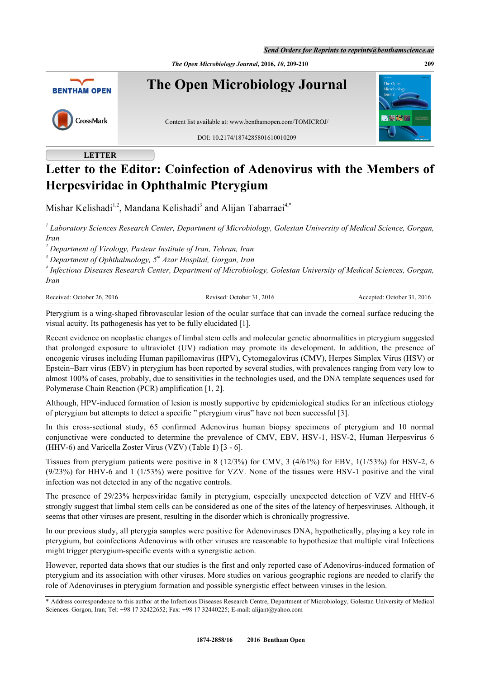*The Open Microbiology Journal***, 2016,** *10***, 209-210 209**



## **LETTER**

# **Letter to the Editor: Coinfection of Adenovirus with the Members of Herpesviridae in Ophthalmic Pterygium**

Mishar Kelishadi<sup>[1,2](#page-0-0)</sup>, Mandana Kelishadi<sup>[3](#page-0-0)</sup> and Alijan Tabarraei<sup>[4](#page-0-0)[,\\*](#page-0-1)</sup>

*1 Laboratory Sciences Research Center, Department of Microbiology, Golestan University of Medical Science, Gorgan, Iran*

*2 Department of Virology, Pasteur Institute of Iran, Tehran, Iran*

*3 Department of Ophthalmology, 5th Azar Hospital, Gorgan, Iran*

<span id="page-0-0"></span>*4 Infectious Diseases Research Center, Department of Microbiology, Golestan University of Medical Sciences, Gorgan, Iran*

Received: October 26, 2016 Revised: October 31, 2016 Accepted: October 31, 2016

Pterygium is a wing-shaped fibrovascular lesion of the ocular surface that can invade the corneal surface reducing the visual acuity. Its pathogenesis has yet to be fully elucidated [\[1](#page-1-0)].

Recent evidence on neoplastic changes of limbal stem cells and molecular genetic abnormalities in pterygium suggested that prolonged exposure to ultraviolet (UV) radiation may promote its development. In addition, the presence of oncogenic viruses including Human papillomavirus (HPV), Cytomegalovirus (CMV), Herpes Simplex Virus (HSV) or Epstein–Barr virus (EBV) in pterygium has been reported by several studies, with prevalences ranging from very low to almost 100% of cases, probably, due to sensitivities in the technologies used, and the DNA template sequences used for Polymerase Chain Reaction (PCR) amplification [[1,](#page-1-0) [2\]](#page-1-1).

Although, HPV-induced formation of lesion is mostly supportive by epidemiological studies for an infectious etiology of pterygium but attempts to detect a specific " pterygium virus" have not been successful [\[3](#page-1-2)].

In this cross-sectional study, 65 confirmed Adenovirus human biopsy specimens of pterygium and 10 normal conjunctivae were conducted to determine the prevalence of CMV, EBV, HSV-1, HSV-2, Human Herpesvirus 6 (HHV-6) and Varicella Zoster Virus (VZV) (Table **1**) [\[3](#page-1-2) - [6\]](#page-1-3).

Tissues from pterygium patients were positive in 8 (12/3%) for CMV, 3 (4/61%) for EBV, 1(1/53%) for HSV-2, 6 (9/23%) for HHV-6 and 1 (1/53%) were positive for VZV. None of the tissues were HSV-1 positive and the viral infection was not detected in any of the negative controls.

The presence of 29/23% herpesviridae family in pterygium, especially unexpected detection of VZV and HHV-6 strongly suggest that limbal stem cells can be considered as one of the sites of the latency of herpesviruses. Although, it seems that other viruses are present, resulting in the disorder which is chronically progressive.

In our previous study, all pterygia samples were positive for Adenoviruses DNA, hypothetically, playing a key role in pterygium, but coinfections Adenovirus with other viruses are reasonable to hypothesize that multiple viral Infections might trigger pterygium-specific events with a synergistic action.

However, reported data shows that our studies is the first and only reported case of Adenovirus-induced formation of pterygium and its association with other viruses. More studies on various geographic regions are needed to clarify the role of Adenoviruses in pterygium formation and possible synergistic effect between viruses in the lesion.

<span id="page-0-1"></span><sup>\*</sup> Address correspondence to this author at the Infectious Diseases Research Centre, Department of Microbiology, Golestan University of Medical Sciences. Gorgon, Iran; Tel: +98 17 32422652; Fax: +98 17 32440225; E-mail: [alijant@yahoo.com](mailto:alijant@yahoo.com)